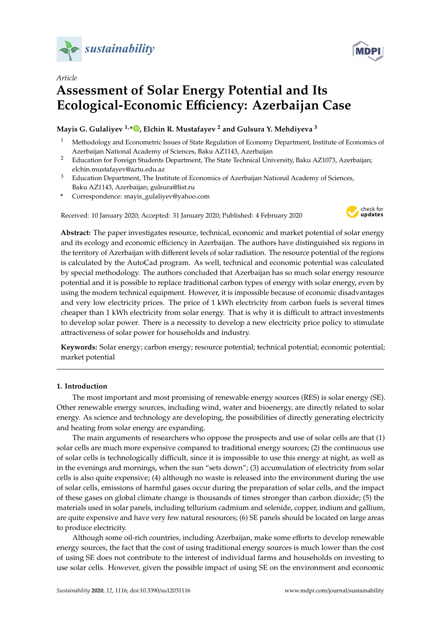



# **Assessment of Solar Energy Potential and Its Ecological-Economic E**ffi**ciency: Azerbaijan Case**

## **Mayis G. Gulaliyev 1,\* [,](https://orcid.org/0000-0001-7614-7322) Elchin R. Mustafayev <sup>2</sup> and Gulsura Y. Mehdiyeva <sup>3</sup>**

- <sup>1</sup> Methodology and Econometric Issues of State Regulation of Economy Department, Institute of Economics of Azerbaijan National Academy of Sciences, Baku AZ1143, Azerbaijan
- <sup>2</sup> Education for Foreign Students Department, The State Technical University, Baku AZ1073, Azerbaijan; elchin.mustafayev@aztu.edu.az
- <sup>3</sup> Education Department, The Institute of Economics of Azerbaijan National Academy of Sciences, Baku AZ1143, Azerbaijan; gulsura@list.ru
- **\*** Correspondence: mayis\_gulaliyev@yahoo.com

Received: 10 January 2020; Accepted: 31 January 2020; Published: 4 February 2020



**Abstract:** The paper investigates resource, technical, economic and market potential of solar energy and its ecology and economic efficiency in Azerbaijan. The authors have distinguished six regions in the territory of Azerbaijan with different levels of solar radiation. The resource potential of the regions is calculated by the AutoCad program. As well, technical and economic potential was calculated by special methodology. The authors concluded that Azerbaijan has so much solar energy resource potential and it is possible to replace traditional carbon types of energy with solar energy, even by using the modern technical equipment. However, it is impossible because of economic disadvantages and very low electricity prices. The price of 1 kWh electricity from carbon fuels is several times cheaper than 1 kWh electricity from solar energy. That is why it is difficult to attract investments to develop solar power. There is a necessity to develop a new electricity price policy to stimulate attractiveness of solar power for households and industry.

**Keywords:** Solar energy; carbon energy; resource potential; technical potential; economic potential; market potential

## **1. Introduction**

The most important and most promising of renewable energy sources (RES) is solar energy (SE). Other renewable energy sources, including wind, water and bioenergy, are directly related to solar energy. As science and technology are developing, the possibilities of directly generating electricity and heating from solar energy are expanding.

The main arguments of researchers who oppose the prospects and use of solar cells are that (1) solar cells are much more expensive compared to traditional energy sources; (2) the continuous use of solar cells is technologically difficult, since it is impossible to use this energy at night, as well as in the evenings and mornings, when the sun "sets down"; (3) accumulation of electricity from solar cells is also quite expensive; (4) although no waste is released into the environment during the use of solar cells, emissions of harmful gases occur during the preparation of solar cells, and the impact of these gases on global climate change is thousands of times stronger than carbon dioxide; (5) the materials used in solar panels, including tellurium cadmium and selenide, copper, indium and gallium, are quite expensive and have very few natural resources; (6) SE panels should be located on large areas to produce electricity.

Although some oil-rich countries, including Azerbaijan, make some efforts to develop renewable energy sources, the fact that the cost of using traditional energy sources is much lower than the cost of using SE does not contribute to the interest of individual farms and households on investing to use solar cells. However, given the possible impact of using SE on the environment and economic

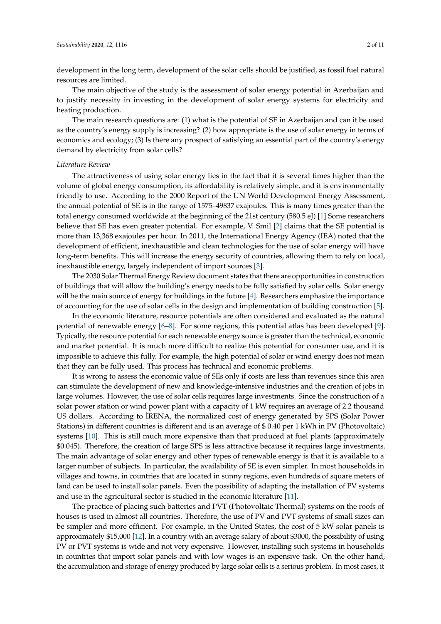development in the long term, development of the solar cells should be justified, as fossil fuel natural resources are limited.

The main objective of the study is the assessment of solar energy potential in Azerbaijan and to justify necessity in investing in the development of solar energy systems for electricity and heating production.

The main research questions are: (1) what is the potential of SE in Azerbaijan and can it be used as the country's energy supply is increasing? (2) how appropriate is the use of solar energy in terms of economics and ecology; (3) Is there any prospect of satisfying an essential part of the country's energy demand by electricity from solar cells?

#### *Literature Review*

The attractiveness of using solar energy lies in the fact that it is several times higher than the volume of global energy consumption, its affordability is relatively simple, and it is environmentally friendly to use. According to the 2000 Report of the UN World Development Energy Assessment, the annual potential of SE is in the range of 1575–49837 exajoules. This is many times greater than the total energy consumed worldwide at the beginning of the 21st century (580.5 eJ) [\[1\]](#page-9-0) Some researchers believe that SE has even greater potential. For example, V. Smil [\[2\]](#page-9-1) claims that the SE potential is more than 13,368 exajoules per hour. In 2011, the International Energy Agency (IEA) noted that the development of efficient, inexhaustible and clean technologies for the use of solar energy will have long-term benefits. This will increase the energy security of countries, allowing them to rely on local, inexhaustible energy, largely independent of import sources [\[3\]](#page-9-2).

The 2030 Solar Thermal Energy Review document states that there are opportunities in construction of buildings that will allow the building's energy needs to be fully satisfied by solar cells. Solar energy will be the main source of energy for buildings in the future [\[4\]](#page-9-3). Researchers emphasize the importance of accounting for the use of solar cells in the design and implementation of building construction [\[5\]](#page-9-4).

In the economic literature, resource potentials are often considered and evaluated as the natural potential of renewable energy [\[6–](#page-9-5)[8\]](#page-10-0). For some regions, this potential atlas has been developed [\[9\]](#page-10-1). Typically, the resource potential for each renewable energy source is greater than the technical, economic and market potential. It is much more difficult to realize this potential for consumer use, and it is impossible to achieve this fully. For example, the high potential of solar or wind energy does not mean that they can be fully used. This process has technical and economic problems.

It is wrong to assess the economic value of SEs only if costs are less than revenues since this area can stimulate the development of new and knowledge-intensive industries and the creation of jobs in large volumes. However, the use of solar cells requires large investments. Since the construction of a solar power station or wind power plant with a capacity of 1 kW requires an average of 2.2 thousand US dollars. According to ˙IRENA, the normalized cost of energy generated by SPS (Solar Power Stations) in different countries is different and is an average of \$ 0.40 per 1 kWh in PV (Photovoltaic) systems [\[10\]](#page-10-2). This is still much more expensive than that produced at fuel plants (approximately \$0.045). Therefore, the creation of large SPS is less attractive because it requires large investments. The main advantage of solar energy and other types of renewable energy is that it is available to a larger number of subjects. In particular, the availability of SE is even simpler. In most households in villages and towns, in countries that are located in sunny regions, even hundreds of square meters of land can be used to install solar panels. Even the possibility of adapting the installation of PV systems and use in the agricultural sector is studied in the economic literature [\[11\]](#page-10-3).

The practice of placing such batteries and PVT (Photovoltaic Thermal) systems on the roofs of houses is used in almost all countries. Therefore, the use of PV and PVT systems of small sizes can be simpler and more efficient. For example, in the United States, the cost of 5 kW solar panels is approximately \$15,000 [\[12\]](#page-10-4). In a country with an average salary of about \$3000, the possibility of using PV or PVT systems is wide and not very expensive. However, installing such systems in households in countries that import solar panels and with low wages is an expensive task. On the other hand, the accumulation and storage of energy produced by large solar cells is a serious problem. In most cases, it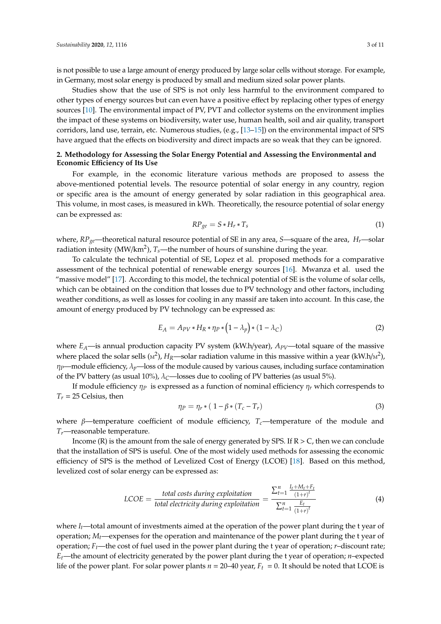is not possible to use a large amount of energy produced by large solar cells without storage. For example, in Germany, most solar energy is produced by small and medium sized solar power plants.

Studies show that the use of SPS is not only less harmful to the environment compared to other types of energy sources but can even have a positive effect by replacing other types of energy sources [\[10\]](#page-10-2). The environmental impact of PV, PVT and collector systems on the environment implies the impact of these systems on biodiversity, water use, human health, soil and air quality, transport corridors, land use, terrain, etc. Numerous studies, (e.g., [\[13](#page-10-5)[–15\]](#page-10-6)) on the environmental impact of SPS have argued that the effects on biodiversity and direct impacts are so weak that they can be ignored.

## **2. Methodology for Assessing the Solar Energy Potential and Assessing the Environmental and Economic E**ffi**ciency of Its Use**

For example, in the economic literature various methods are proposed to assess the above-mentioned potential levels. The resource potential of solar energy in any country, region or specific area is the amount of energy generated by solar radiation in this geographical area. This volume, in most cases, is measured in kWh. Theoretically, the resource potential of solar energy can be expressed as:

$$
RP_{ge} = S * H_r * T_s \tag{1}
$$

where, *RPge*—theoretical natural resource potential of SE in any area, *S*—square of the area, *Hr*—solar radiation intesity (MW/km<sup>2</sup> ), *Ts*—the number of hours of sunshine during the year.

To calculate the technical potential of SE, Lopez et al. proposed methods for a comparative assessment of the technical potential of renewable energy sources [\[16\]](#page-10-7). Mwanza et al. used the "massive model" [\[17\]](#page-10-8). According to this model, the technical potential of SE is the volume of solar cells, which can be obtained on the condition that losses due to PV technology and other factors, including weather conditions, as well as losses for cooling in any massif are taken into account. In this case, the amount of energy produced by PV technology can be expressed as:

$$
E_A = A_{PV} * H_R * \eta_P * (1 - \lambda_p) * (1 - \lambda_C)
$$
\n<sup>(2)</sup>

where  $E_A$ —is annual production capacity PV system (kW.h/year),  $A_{PV}$ —total square of the massive where placed the solar sells ( $\mu$ <sup>2</sup>),  $H_R$ —solar radiation valume in this massive within a year (kW.h/ $\mu$ <sup>2</sup>),  $\eta_P$ —module efficiency,  $\lambda_p$ —loss of the module caused by various causes, including surface contamination of the PV battery (as usual 10%),  $\lambda_c$ —losses due to cooling of PV batteries (as usual 5%).

If module efficiency  $\eta_p$  is expressed as a function of nominal efficiency  $\eta_r$  which correspends to  $T_r = 25$  Celsius, then

$$
\eta_P = \eta_r * (1 - \beta * (T_c - T_r)) \tag{3}
$$

where  $\beta$ —temperature coefficient of module efficiency,  $T_c$ —temperature of the module and *Tr*—reasonable temperature.

Income (R) is the amount from the sale of energy generated by SPS. If  $R > C$ , then we can conclude that the installation of SPS is useful. One of the most widely used methods for assessing the economic efficiency of SPS is the method of Levelized Cost of Energy (LCOE) [\[18\]](#page-10-9). Based on this method, levelized cost of solar energy can be expressed as:

$$
LCOE = \frac{total \ costs \ during \ exploitation}{total \ electricity \ during \ exploitation} = \frac{\sum_{t=1}^{n} \frac{I_t + M_t + F_t}{(1+r)^t}}{\sum_{t=1}^{n} \frac{E_t}{(1+r)^t}}
$$
(4)

where  $I_t$ —total amount of investments aimed at the operation of the power plant during the t year of operation; *Mt*—expenses for the operation and maintenance of the power plant during the t year of operation;  $F_t$ —the cost of fuel used in the power plant during the t year of operation;  $r$ –discount rate;  $E_t$ —the amount of electricity generated by the power plant during the t year of operation; *n*–expected life of the power plant. For solar power plants  $n = 20-40$  year,  $F_t = 0$ . It should be noted that LCOE is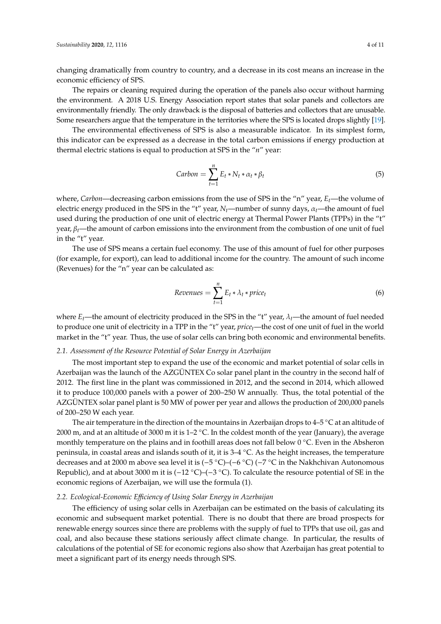changing dramatically from country to country, and a decrease in its cost means an increase in the economic efficiency of SPS.

The repairs or cleaning required during the operation of the panels also occur without harming the environment. A 2018 U.S. Energy Association report states that solar panels and collectors are environmentally friendly. The only drawback is the disposal of batteries and collectors that are unusable. Some researchers argue that the temperature in the territories where the SPS is located drops slightly [\[19\]](#page-10-10).

The environmental effectiveness of SPS is also a measurable indicator. In its simplest form, this indicator can be expressed as a decrease in the total carbon emissions if energy production at thermal electric stations is equal to production at SPS in the "*n*" year:

$$
Carbon = \sum_{t=1}^{n} E_t * N_t * \alpha_t * \beta_t \tag{5}
$$

where, *Carbon*—decreasing carbon emissions from the use of SPS in the "n" year, *Et*—the volume of electric energy produced in the SPS in the "t" year,  $N_t$ —number of sunny days,  $\alpha_t$ —the amount of fuel used during the production of one unit of electric energy at Thermal Power Plants (TPPs) in the "t" year, β*t*—the amount of carbon emissions into the environment from the combustion of one unit of fuel in the "t" year.

The use of SPS means a certain fuel economy. The use of this amount of fuel for other purposes (for example, for export), can lead to additional income for the country. The amount of such income (Revenues) for the "n" year can be calculated as:

$$
Revenues = \sum_{t=1}^{n} E_t * \lambda_t * price_t
$$
\n(6)

where  $E_t$ —the amount of electricity produced in the SPS in the "t" year,  $\lambda_t$ —the amount of fuel needed to produce one unit of electricity in a TPP in the "t" year, *pricet*—the cost of one unit of fuel in the world market in the "t" year. Thus, the use of solar cells can bring both economic and environmental benefits.

#### *2.1. Assessment of the Resource Potential of Solar Energy in Azerbaijan*

The most important step to expand the use of the economic and market potential of solar cells in Azerbaijan was the launch of the AZGÜNTEX Co solar panel plant in the country in the second half of 2012. The first line in the plant was commissioned in 2012, and the second in 2014, which allowed it to produce 100,000 panels with a power of 200–250 W annually. Thus, the total potential of the AZGÜNTEX solar panel plant is 50 MW of power per year and allows the production of 200,000 panels of 200–250 W each year.

The air temperature in the direction of the mountains in Azerbaijan drops to  $4-5\degree C$  at an altitude of 2000 m, and at an altitude of 3000 m it is 1–2 ◦C. In the coldest month of the year (January), the average monthly temperature on the plains and in foothill areas does not fall below 0 ◦C. Even in the Absheron peninsula, in coastal areas and islands south of it, it is 3–4 ◦C. As the height increases, the temperature decreases and at 2000 m above sea level it is (−5 ◦C)–(−6 ◦C) (−7 ◦C in the Nakhchivan Autonomous Republic), and at about 3000 m it is (-12 °C)-(-3 °C). To calculate the resource potential of SE in the economic regions of Azerbaijan, we will use the formula (1).

#### *2.2. Ecological-Economic E*ffi*ciency of Using Solar Energy in Azerbaijan*

The efficiency of using solar cells in Azerbaijan can be estimated on the basis of calculating its economic and subsequent market potential. There is no doubt that there are broad prospects for renewable energy sources since there are problems with the supply of fuel to TPPs that use oil, gas and coal, and also because these stations seriously affect climate change. In particular, the results of calculations of the potential of SE for economic regions also show that Azerbaijan has great potential to meet a significant part of its energy needs through SPS.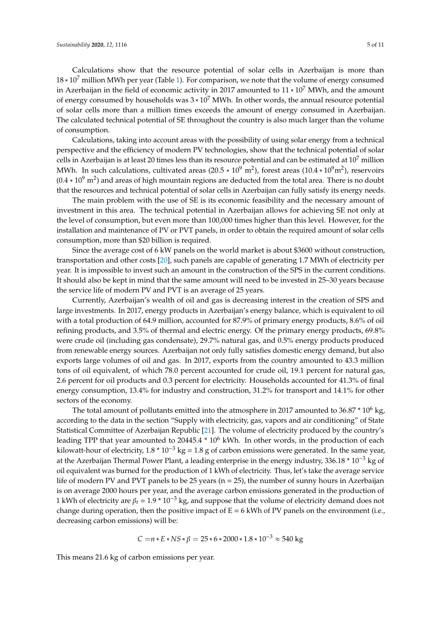Calculations show that the resource potential of solar cells in Azerbaijan is more than  $18 * 10<sup>7</sup>$  million MWh per year (Table [1\)](#page-5-0). For comparison, we note that the volume of energy consumed in Azerbaijan in the field of economic activity in 2017 amounted to  $11 * 10^7$  MWh, and the amount of energy consumed by households was 3 ∗ 10<sup>7</sup> MWh. In other words, the annual resource potential of solar cells more than a million times exceeds the amount of energy consumed in Azerbaijan. The calculated technical potential of SE throughout the country is also much larger than the volume of consumption.

Calculations, taking into account areas with the possibility of using solar energy from a technical perspective and the efficiency of modern PV technologies, show that the technical potential of solar cells in Azerbaijan is at least 20 times less than its resource potential and can be estimated at  $10<sup>7</sup>$  million MWh. In such calculations, cultivated areas (20.5  $*$  10<sup>9</sup> m<sup>2</sup>), forest areas (10.4  $*$  10<sup>9</sup>m<sup>2</sup>), reservoirs  $(0.4 * 10<sup>9</sup> m<sup>2</sup>)$  and areas of high mountain regions are deducted from the total area. There is no doubt that the resources and technical potential of solar cells in Azerbaijan can fully satisfy its energy needs.

The main problem with the use of SE is its economic feasibility and the necessary amount of investment in this area. The technical potential in Azerbaijan allows for achieving SE not only at the level of consumption, but even more than 100,000 times higher than this level. However, for the installation and maintenance of PV or PVT panels, in order to obtain the required amount of solar cells consumption, more than \$20 billion is required.

Since the average cost of 6 kW panels on the world market is about \$3600 without construction, transportation and other costs [\[20\]](#page-10-11), such panels are capable of generating 1.7 MWh of electricity per year. It is impossible to invest such an amount in the construction of the SPS in the current conditions. It should also be kept in mind that the same amount will need to be invested in 25–30 years because the service life of modern PV and PVT is an average of 25 years.

Currently, Azerbaijan's wealth of oil and gas is decreasing interest in the creation of SPS and large investments. In 2017, energy products in Azerbaijan's energy balance, which is equivalent to oil with a total production of 64.9 million, accounted for 87.9% of primary energy products, 8.6% of oil refining products, and 3.5% of thermal and electric energy. Of the primary energy products, 69.8% were crude oil (including gas condensate), 29.7% natural gas, and 0.5% energy products produced from renewable energy sources. Azerbaijan not only fully satisfies domestic energy demand, but also exports large volumes of oil and gas. In 2017, exports from the country amounted to 43.3 million tons of oil equivalent, of which 78.0 percent accounted for crude oil, 19.1 percent for natural gas, 2.6 percent for oil products and 0.3 percent for electricity. Households accounted for 41.3% of final energy consumption, 13.4% for industry and construction, 31.2% for transport and 14.1% for other sectors of the economy.

The total amount of pollutants emitted into the atmosphere in 2017 amounted to 36.87  $*$  10<sup>6</sup> kg, according to the data in the section "Supply with electricity, gas, vapors and air conditioning" of State Statistical Committee of Azerbaijan Republic [\[21\]](#page-10-12). The volume of electricity produced by the country's leading TPP that year amounted to  $20445.4 * 10<sup>6</sup>$  kWh. In other words, in the production of each kilowatt-hour of electricity,  $1.8 * 10^{-3}$  kg = 1.8 g of carbon emissions were generated. In the same year, at the Azerbaijan Thermal Power Plant, a leading enterprise in the energy industry, 336.18 \* 10−<sup>3</sup> kg of oil equivalent was burned for the production of 1 kWh of electricity. Thus, let's take the average service life of modern PV and PVT panels to be 25 years ( $n = 25$ ), the number of sunny hours in Azerbaijan is on average 2000 hours per year, and the average carbon emissions generated in the production of 1 kWh of electricity are  $\beta_t = 1.9 * 10^{-3}$  kg, and suppose that the volume of electricity demand does not change during operation, then the positive impact of  $E = 6$  kWh of PV panels on the environment (i.e., decreasing carbon emissions) will be:

$$
C = n * E * NS * \beta = 25 * 6 * 2000 * 1.8 * 10^{-3} \approx 540 \text{ kg}
$$

This means 21.6 kg of carbon emissions per year.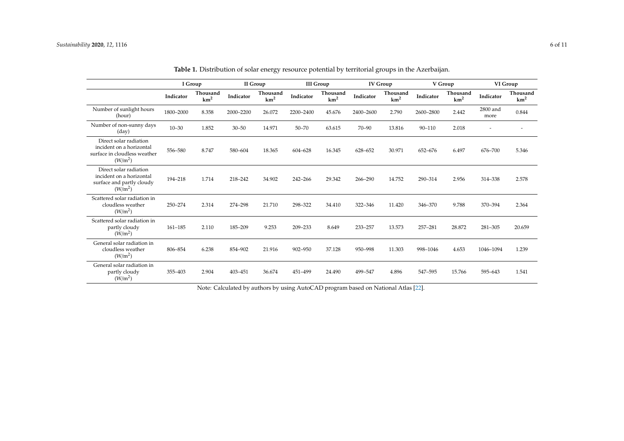|                                                                                                           | I Group     |                             | II Group  |                             | <b>III</b> Group |                             | <b>IV Group</b> |                             | V Group    |                             | VI Group         |                             |
|-----------------------------------------------------------------------------------------------------------|-------------|-----------------------------|-----------|-----------------------------|------------------|-----------------------------|-----------------|-----------------------------|------------|-----------------------------|------------------|-----------------------------|
|                                                                                                           | Indicator   | Thousand<br>km <sup>2</sup> | Indicator | Thousand<br>km <sup>2</sup> | Indicator        | Thousand<br>km <sup>2</sup> | Indicator       | Thousand<br>km <sup>2</sup> | Indicator  | Thousand<br>km <sup>2</sup> | Indicator        | Thousand<br>km <sup>2</sup> |
| Number of sunlight hours<br>(hour)                                                                        | 1800-2000   | 8.358                       | 2000-2200 | 26.072                      | 2200-2400        | 45.676                      | 2400-2600       | 2.790                       | 2600-2800  | 2.442                       | 2800 and<br>more | 0.844                       |
| Number of non-sunny days<br>(day)                                                                         | $10 - 30$   | 1.852                       | $30 - 50$ | 14.971                      | $50 - 70$        | 63.615                      | $70 - 90$       | 13.816                      | $90 - 110$ | 2.018                       |                  |                             |
| Direct solar radiation<br>incident on a horizontal<br>surface in cloudless weather<br>(W/m <sup>2</sup> ) | 556-580     | 8.747                       | 580-604   | 18.365                      | 604-628          | 16.345                      | 628-652         | 30.971                      | 652-676    | 6.497                       | 676-700          | 5.346                       |
| Direct solar radiation<br>incident on a horizontal<br>surface and partly cloudy<br>$(W/m^2)$              | 194-218     | 1.714                       | 218-242   | 34.902                      | 242-266          | 29.342                      | 266-290         | 14.752                      | 290-314    | 2.956                       | 314-338          | 2.578                       |
| Scattered solar radiation in<br>cloudless weather<br>(W/m <sup>2</sup> )                                  | 250-274     | 2.314                       | 274-298   | 21.710                      | 298-322          | 34.410                      | 322-346         | 11.420                      | 346-370    | 9.788                       | 370-394          | 2.364                       |
| Scattered solar radiation in<br>partly cloudy<br>(W/m <sup>2</sup> )                                      | $161 - 185$ | 2.110                       | 185-209   | 9.253                       | 209-233          | 8.649                       | 233-257         | 13.573                      | 257-281    | 28.872                      | 281-305          | 20.659                      |
| General solar radiation in<br>cloudless weather<br>(W/m <sup>2</sup> )                                    | 806-854     | 6.238                       | 854-902   | 21.916                      | 902-950          | 37.128                      | 950-998         | 11.303                      | 998-1046   | 4.653                       | 1046-1094        | 1.239                       |
| General solar radiation in<br>partly cloudy<br>(W/m <sup>2</sup> )                                        | 355-403     | 2.904                       | 403-451   | 36.674                      | 451-499          | 24.490                      | 499-547         | 4.896                       | 547-595    | 15.766                      | 595-643          | 1.541                       |

|  | <b>Table 1.</b> Distribution of solar energy resource potential by territorial groups in the Azerbaijan. |  |  |  |  |  |  |
|--|----------------------------------------------------------------------------------------------------------|--|--|--|--|--|--|
|--|----------------------------------------------------------------------------------------------------------|--|--|--|--|--|--|

<span id="page-5-0"></span>Note: Calculated by authors by using AutoCAD program based on National Atlas [\[22\]](#page-10-13).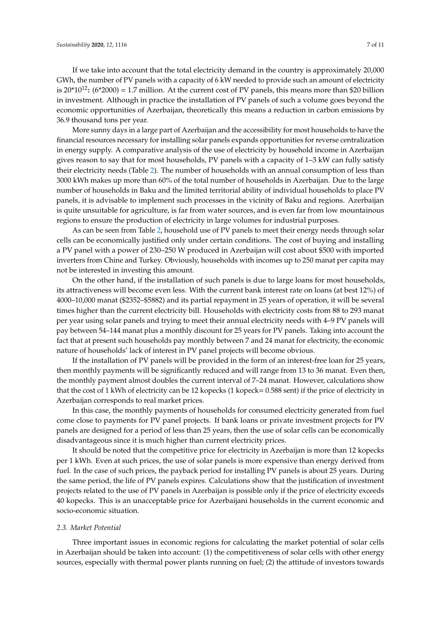If we take into account that the total electricity demand in the country is approximately 20,000 GWh, the number of PV panels with a capacity of 6 kW needed to provide such an amount of electricity is  $20*10^{12}$ : (6\*2000) = 1.7 million. At the current cost of PV panels, this means more than \$20 billion in investment. Although in practice the installation of PV panels of such a volume goes beyond the economic opportunities of Azerbaijan, theoretically this means a reduction in carbon emissions by 36.9 thousand tons per year.

More sunny days in a large part of Azerbaijan and the accessibility for most households to have the financial resources necessary for installing solar panels expands opportunities for reverse centralization in energy supply. A comparative analysis of the use of electricity by household income in Azerbaijan gives reason to say that for most households, PV panels with a capacity of 1–3 kW can fully satisfy their electricity needs (Table [2\)](#page-8-0). The number of households with an annual consumption of less than 3000 kWh makes up more than 60% of the total number of households in Azerbaijan. Due to the large number of households in Baku and the limited territorial ability of individual households to place PV panels, it is advisable to implement such processes in the vicinity of Baku and regions. Azerbaijan is quite unsuitable for agriculture, is far from water sources, and is even far from low mountainous regions to ensure the production of electricity in large volumes for industrial purposes.

As can be seen from Table [2,](#page-8-0) household use of PV panels to meet their energy needs through solar cells can be economically justified only under certain conditions. The cost of buying and installing a PV panel with a power of 230–250 W produced in Azerbaijan will cost about \$500 with imported inverters from Chine and Turkey. Obviously, households with incomes up to 250 manat per capita may not be interested in investing this amount.

On the other hand, if the installation of such panels is due to large loans for most households, its attractiveness will become even less. With the current bank interest rate on loans (at best 12%) of 4000–10,000 manat (\$2352–\$5882) and its partial repayment in 25 years of operation, it will be several times higher than the current electricity bill. Households with electricity costs from 88 to 293 manat per year using solar panels and trying to meet their annual electricity needs with 4–9 PV panels will pay between 54–144 manat plus a monthly discount for 25 years for PV panels. Taking into account the fact that at present such households pay monthly between 7 and 24 manat for electricity, the economic nature of households' lack of interest in PV panel projects will become obvious.

If the installation of PV panels will be provided in the form of an interest-free loan for 25 years, then monthly payments will be significantly reduced and will range from 13 to 36 manat. Even then, the monthly payment almost doubles the current interval of 7–24 manat. However, calculations show that the cost of 1 kWh of electricity can be 12 kopecks (1 kopeck= 0.588 sent) if the price of electricity in Azerbaijan corresponds to real market prices.

In this case, the monthly payments of households for consumed electricity generated from fuel come close to payments for PV panel projects. If bank loans or private investment projects for PV panels are designed for a period of less than 25 years, then the use of solar cells can be economically disadvantageous since it is much higher than current electricity prices.

It should be noted that the competitive price for electricity in Azerbaijan is more than 12 kopecks per 1 kWh. Even at such prices, the use of solar panels is more expensive than energy derived from fuel. In the case of such prices, the payback period for installing PV panels is about 25 years. During the same period, the life of PV panels expires. Calculations show that the justification of investment projects related to the use of PV panels in Azerbaijan is possible only if the price of electricity exceeds 40 kopecks. This is an unacceptable price for Azerbaijani households in the current economic and socio-economic situation.

#### *2.3. Market Potential*

Three important issues in economic regions for calculating the market potential of solar cells in Azerbaijan should be taken into account: (1) the competitiveness of solar cells with other energy sources, especially with thermal power plants running on fuel; (2) the attitude of investors towards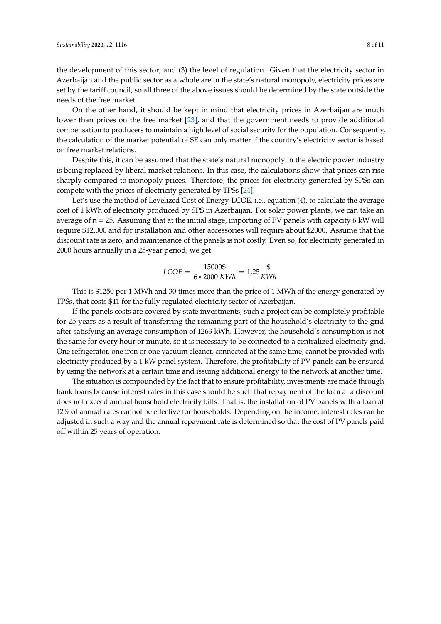the development of this sector; and (3) the level of regulation. Given that the electricity sector in Azerbaijan and the public sector as a whole are in the state's natural monopoly, electricity prices are set by the tariff council, so all three of the above issues should be determined by the state outside the needs of the free market.

On the other hand, it should be kept in mind that electricity prices in Azerbaijan are much lower than prices on the free market [\[23\]](#page-10-14), and that the government needs to provide additional compensation to producers to maintain a high level of social security for the population. Consequently, the calculation of the market potential of SE can only matter if the country's electricity sector is based on free market relations.

Despite this, it can be assumed that the state's natural monopoly in the electric power industry is being replaced by liberal market relations. In this case, the calculations show that prices can rise sharply compared to monopoly prices. Therefore, the prices for electricity generated by SPSs can compete with the prices of electricity generated by TPSs [\[24\]](#page-10-15).

Let's use the method of Levelized Cost of Energy-LCOE, i.e., equation (4), to calculate the average cost of 1 kWh of electricity produced by SPS in Azerbaijan. For solar power plants, we can take an average of  $n = 25$ . Assuming that at the initial stage, importing of PV panels with capacity 6 kW will require \$12,000 and for installation and other accessories will require about \$2000. Assume that the discount rate is zero, and maintenance of the panels is not costly. Even so, for electricity generated in 2000 hours annually in a 25-year period, we get

$$
LCOE = \frac{15000\text{ }}{6 * 2000 \text{ } KWh} = 1.25 \frac{\text{ } \textcircled{\textsc{}}}{KWh}
$$

This is \$1250 per 1 MWh and 30 times more than the price of 1 MWh of the energy generated by TPSs, that costs \$41 for the fully regulated electricity sector of Azerbaijan.

If the panels costs are covered by state investments, such a project can be completely profitable for 25 years as a result of transferring the remaining part of the household's electricity to the grid after satisfying an average consumption of 1263 kWh. However, the household's consumption is not the same for every hour or minute, so it is necessary to be connected to a centralized electricity grid. One refrigerator, one iron or one vacuum cleaner, connected at the same time, cannot be provided with electricity produced by a 1 kW panel system. Therefore, the profitability of PV panels can be ensured by using the network at a certain time and issuing additional energy to the network at another time.

The situation is compounded by the fact that to ensure profitability, investments are made through bank loans because interest rates in this case should be such that repayment of the loan at a discount does not exceed annual household electricity bills. That is, the installation of PV panels with a loan at 12% of annual rates cannot be effective for households. Depending on the income, interest rates can be adjusted in such a way and the annual repayment rate is determined so that the cost of PV panels paid off within 25 years of operation.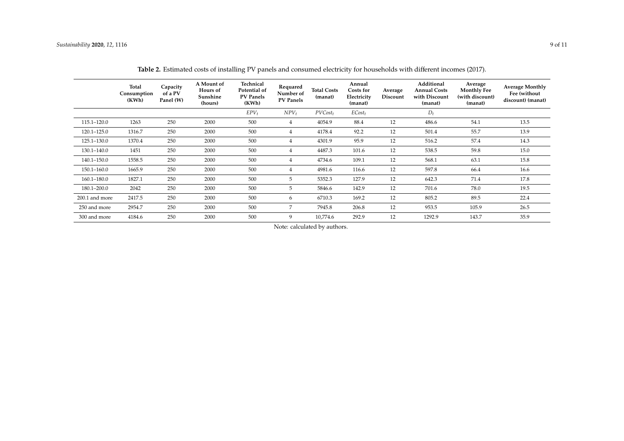<span id="page-8-0"></span>

|                | Total<br>Consumption<br>(KWh) | Capacity<br>of a PV<br>Panel (W) | A Mount of<br>Hours of<br>Sunshine<br>(hours) | Technical<br>Potential of<br><b>PV Panels</b><br>(KWh) | Requared<br>Number of<br>PV Panels | <b>Total Costs</b><br>(manat) | Annual<br>Costs for<br>Electricity<br>(manat) | Average<br>Discount | Additional<br><b>Annual Costs</b><br>with Discount<br>(manat) | Average<br><b>Monthly Fee</b><br>(with discount)<br>(manat) | <b>Average Monthly</b><br>Fee (without<br>discount) (manat) |
|----------------|-------------------------------|----------------------------------|-----------------------------------------------|--------------------------------------------------------|------------------------------------|-------------------------------|-----------------------------------------------|---------------------|---------------------------------------------------------------|-------------------------------------------------------------|-------------------------------------------------------------|
|                |                               |                                  |                                               | $EPV_t$                                                | $NPV_t$                            | $PVCost_t$                    | $ECost_t$                                     |                     | $D_t$                                                         |                                                             |                                                             |
| 115.1-120.0    | 1263                          | 250                              | 2000                                          | 500                                                    | $\overline{4}$                     | 4054.9                        | 88.4                                          | 12                  | 486.6                                                         | 54.1                                                        | 13.5                                                        |
| 120.1-125.0    | 1316.7                        | 250                              | 2000                                          | 500                                                    | 4                                  | 4178.4                        | 92.2                                          | 12                  | 501.4                                                         | 55.7                                                        | 13.9                                                        |
| 125.1-130.0    | 1370.4                        | 250                              | 2000                                          | 500                                                    | $\overline{4}$                     | 4301.9                        | 95.9                                          | 12                  | 516.2                                                         | 57.4                                                        | 14.3                                                        |
| 130.1-140.0    | 1451                          | 250                              | 2000                                          | 500                                                    | 4                                  | 4487.3                        | 101.6                                         | 12                  | 538.5                                                         | 59.8                                                        | 15.0                                                        |
| 140.1-150.0    | 1558.5                        | 250                              | 2000                                          | 500                                                    | $\overline{4}$                     | 4734.6                        | 109.1                                         | 12                  | 568.1                                                         | 63.1                                                        | 15.8                                                        |
| 150.1-160.0    | 1665.9                        | 250                              | 2000                                          | 500                                                    | 4                                  | 4981.6                        | 116.6                                         | 12                  | 597.8                                                         | 66.4                                                        | 16.6                                                        |
| 160.1-180.0    | 1827.1                        | 250                              | 2000                                          | 500                                                    | 5                                  | 5352.3                        | 127.9                                         | 12                  | 642.3                                                         | 71.4                                                        | 17.8                                                        |
| 180.1-200.0    | 2042                          | 250                              | 2000                                          | 500                                                    | 5                                  | 5846.6                        | 142.9                                         | 12                  | 701.6                                                         | 78.0                                                        | 19.5                                                        |
| 200.1 and more | 2417.5                        | 250                              | 2000                                          | 500                                                    | 6                                  | 6710.3                        | 169.2                                         | 12                  | 805.2                                                         | 89.5                                                        | 22.4                                                        |
| 250 and more   | 2954.7                        | 250                              | 2000                                          | 500                                                    | 7                                  | 7945.8                        | 206.8                                         | 12                  | 953.5                                                         | 105.9                                                       | 26.5                                                        |
| 300 and more   | 4184.6                        | 250                              | 2000                                          | 500                                                    | 9                                  | 10,774.6                      | 292.9                                         | 12                  | 1292.9                                                        | 143.7                                                       | 35.9                                                        |

**Table 2.** Estimated costs of installing PV panels and consumed electricity for households with different incomes (2017).

Note: calculated by authors.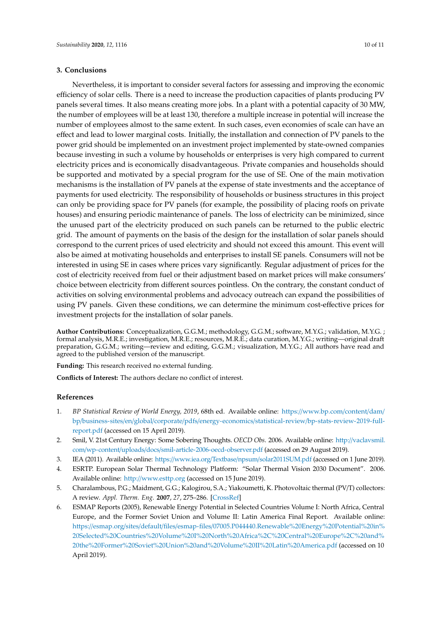### **3. Conclusions**

Nevertheless, it is important to consider several factors for assessing and improving the economic efficiency of solar cells. There is a need to increase the production capacities of plants producing PV panels several times. It also means creating more jobs. In a plant with a potential capacity of 30 MW, the number of employees will be at least 130, therefore a multiple increase in potential will increase the number of employees almost to the same extent. In such cases, even economies of scale can have an effect and lead to lower marginal costs. Initially, the installation and connection of PV panels to the power grid should be implemented on an investment project implemented by state-owned companies because investing in such a volume by households or enterprises is very high compared to current electricity prices and is economically disadvantageous. Private companies and households should be supported and motivated by a special program for the use of SE. One of the main motivation mechanisms is the installation of PV panels at the expense of state investments and the acceptance of payments for used electricity. The responsibility of households or business structures in this project can only be providing space for PV panels (for example, the possibility of placing roofs on private houses) and ensuring periodic maintenance of panels. The loss of electricity can be minimized, since the unused part of the electricity produced on such panels can be returned to the public electric grid. The amount of payments on the basis of the design for the installation of solar panels should correspond to the current prices of used electricity and should not exceed this amount. This event will also be aimed at motivating households and enterprises to install SE panels. Consumers will not be interested in using SE in cases where prices vary significantly. Regular adjustment of prices for the cost of electricity received from fuel or their adjustment based on market prices will make consumers' choice between electricity from different sources pointless. On the contrary, the constant conduct of activities on solving environmental problems and advocacy outreach can expand the possibilities of using PV panels. Given these conditions, we can determine the minimum cost-effective prices for investment projects for the installation of solar panels.

**Author Contributions:** Conceptualization, G.G.M.; methodology, G.G.M.; software, M.Y.G.; validation, M.Y.G. ; formal analysis, M.R.E.; investigation, M.R.E.; resources, M.R.E.; data curation, M.Y.G.; writing—original draft preparation, G.G.M.; writing—review and editing, G.G.M.; visualization, M.Y.G.; All authors have read and agreed to the published version of the manuscript.

**Funding:** This research received no external funding.

**Conflicts of Interest:** The authors declare no conflict of interest.

### **References**

- <span id="page-9-0"></span>1. *BP Statistical Review of World Energy, 2019*, 68th ed. Available online: https://[www.bp.com](https://www.bp.com/content/dam/bp/business-sites/en/global/corporate/pdfs/energy-economics/statistical-review/bp-stats-review-2019-full-report.pdf)/content/dam/ bp/business-sites/en/global/corporate/pdfs/energy-economics/statistical-review/[bp-stats-review-2019-full](https://www.bp.com/content/dam/bp/business-sites/en/global/corporate/pdfs/energy-economics/statistical-review/bp-stats-review-2019-full-report.pdf)[report.pdf](https://www.bp.com/content/dam/bp/business-sites/en/global/corporate/pdfs/energy-economics/statistical-review/bp-stats-review-2019-full-report.pdf) (accessed on 15 April 2019).
- <span id="page-9-1"></span>2. Smil, V. 21st Century Energy: Some Sobering Thoughts. *OECD Obs*. 2006. Available online: http://[vaclavsmil.](http://vaclavsmil.com/wp-content/uploads/docs/smil-article-2006-oecd-observer.pdf) com/wp-content/uploads/docs/[smil-article-2006-oecd-observer.pdf](http://vaclavsmil.com/wp-content/uploads/docs/smil-article-2006-oecd-observer.pdf) (accessed on 29 August 2019).
- <span id="page-9-2"></span>3. IEA (2011). Available online: https://www.iea.org/Textbase/npsum/[solar2011SUM.pdf](https://www.iea.org/Textbase/npsum/solar2011SUM.pdf) (accessed on 1 June 2019).
- <span id="page-9-3"></span>4. ESRTP. European Solar Thermal Technology Platform: "Solar Thermal Vision 2030 Document". 2006. Available online: http://[www.esttp.org](http://www.esttp.org) (accessed on 15 June 2019).
- <span id="page-9-4"></span>5. Charalambous, P.G.; Maidment, G.G.; Kalogirou, S.A.; Yiakoumetti, K. Photovoltaic thermal (PV/T) collectors: A review. *Appl. Therm. Eng.* **2007**, *27*, 275–286. [\[CrossRef\]](http://dx.doi.org/10.1016/j.applthermaleng.2006.06.007)
- <span id="page-9-5"></span>6. ESMAP Reports (2005), Renewable Energy Potential in Selected Countries Volume I: North Africa, Central Europe, and the Former Soviet Union and Volume II: Latin America Final Report. Available online: https://esmap.org/sites/default/files/esmap-files/[07005.P044440.Renewable%20Energy%20Potential%20in%](https://esmap.org/sites/default/files/esmap-files/07005.P044440.Renewable%20Energy%20Potential%20in%20Selected%20Countries%20Volume%20I%20North%20Africa%2C%20Central%20Europe%2C%20and%20the%20Former%20Soviet%20Union%20and%20Volume%20II%20Latin%20America.pdf) [20Selected%20Countries%20Volume%20I%20North%20Africa%2C%20Central%20Europe%2C%20and%](https://esmap.org/sites/default/files/esmap-files/07005.P044440.Renewable%20Energy%20Potential%20in%20Selected%20Countries%20Volume%20I%20North%20Africa%2C%20Central%20Europe%2C%20and%20the%20Former%20Soviet%20Union%20and%20Volume%20II%20Latin%20America.pdf) [20the%20Former%20Soviet%20Union%20and%20Volume%20II%20Latin%20America.pdf](https://esmap.org/sites/default/files/esmap-files/07005.P044440.Renewable%20Energy%20Potential%20in%20Selected%20Countries%20Volume%20I%20North%20Africa%2C%20Central%20Europe%2C%20and%20the%20Former%20Soviet%20Union%20and%20Volume%20II%20Latin%20America.pdf) (accessed on 10 April 2019).